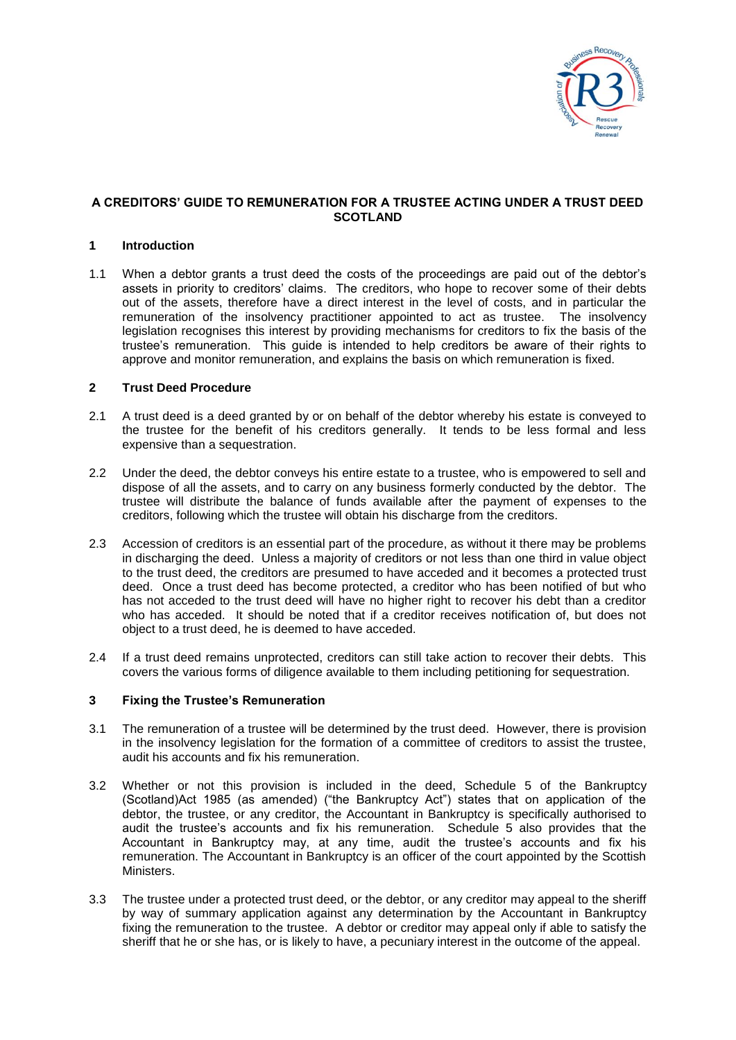

## **A CREDITORS' GUIDE TO REMUNERATION FOR A TRUSTEE ACTING UNDER A TRUST DEED SCOTLAND**

### **1 Introduction**

1.1 When a debtor grants a trust deed the costs of the proceedings are paid out of the debtor's assets in priority to creditors' claims. The creditors, who hope to recover some of their debts out of the assets, therefore have a direct interest in the level of costs, and in particular the remuneration of the insolvency practitioner appointed to act as trustee. The insolvency legislation recognises this interest by providing mechanisms for creditors to fix the basis of the trustee's remuneration. This guide is intended to help creditors be aware of their rights to approve and monitor remuneration, and explains the basis on which remuneration is fixed.

## **2 Trust Deed Procedure**

- 2.1 A trust deed is a deed granted by or on behalf of the debtor whereby his estate is conveyed to the trustee for the benefit of his creditors generally. It tends to be less formal and less expensive than a sequestration.
- 2.2 Under the deed, the debtor conveys his entire estate to a trustee, who is empowered to sell and dispose of all the assets, and to carry on any business formerly conducted by the debtor. The trustee will distribute the balance of funds available after the payment of expenses to the creditors, following which the trustee will obtain his discharge from the creditors.
- 2.3 Accession of creditors is an essential part of the procedure, as without it there may be problems in discharging the deed. Unless a majority of creditors or not less than one third in value object to the trust deed, the creditors are presumed to have acceded and it becomes a protected trust deed. Once a trust deed has become protected, a creditor who has been notified of but who has not acceded to the trust deed will have no higher right to recover his debt than a creditor who has acceded. It should be noted that if a creditor receives notification of, but does not object to a trust deed, he is deemed to have acceded.
- 2.4 If a trust deed remains unprotected, creditors can still take action to recover their debts. This covers the various forms of diligence available to them including petitioning for sequestration.

### **3 Fixing the Trustee's Remuneration**

- 3.1 The remuneration of a trustee will be determined by the trust deed. However, there is provision in the insolvency legislation for the formation of a committee of creditors to assist the trustee, audit his accounts and fix his remuneration.
- 3.2 Whether or not this provision is included in the deed, Schedule 5 of the Bankruptcy (Scotland)Act 1985 (as amended) ("the Bankruptcy Act") states that on application of the debtor, the trustee, or any creditor, the Accountant in Bankruptcy is specifically authorised to audit the trustee's accounts and fix his remuneration. Schedule 5 also provides that the Accountant in Bankruptcy may, at any time, audit the trustee's accounts and fix his remuneration. The Accountant in Bankruptcy is an officer of the court appointed by the Scottish Ministers.
- 3.3 The trustee under a protected trust deed, or the debtor, or any creditor may appeal to the sheriff by way of summary application against any determination by the Accountant in Bankruptcy fixing the remuneration to the trustee. A debtor or creditor may appeal only if able to satisfy the sheriff that he or she has, or is likely to have, a pecuniary interest in the outcome of the appeal.